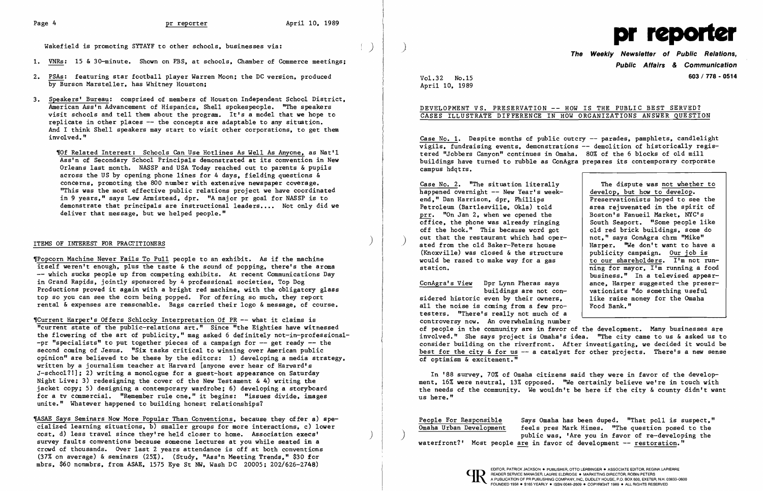

- 1. VNRs: 15 & 30-minute. Shown on PBS, at schools, Chamber of Commerce meetings;
- 2. PSAs: featuring star football player Warren Moon; the DC version. produced by Burson Marsteller. has Whitney Houston;
- 3. Speakers' Bureau: comprised of members of Houston Independent School District. American Ass'n Advancement of Hispanics. Shell spokespeople. "The speakers visit schools and tell them about the program. It's a model that we hope to replicate in other places -- the concepts are adaptable to any situation. And I think Shell speakers may start to visit other corporations. to get them involved. "

~Of Related Interest: Schools Can Use Hot1ines As Well As Anyone. as Nat'l Ass'n of Secondary School Principals demonstrated at its convention in New Orleans last month. NASSP and USA Today reached out to parents & pupils across the US by opening phone lines for 4 days. fielding questions & concerns. promoting the 800 number with extensive newspaper coverage. "This was the most effective public relations project we have coordinated in 9 years." says Lew Armistead. dpr. "A major pr goal for NASSP is to demonstrate that principals are instructional leaders.... Not only did we deliver that message. but we helped people."

## ITEMS OF INTEREST FOR PRACTITIONERS

~Popcorn Machine Never Fails To Pull people to an exhibit. As if the machine itself weren't enough. plus the taste & the sound of popping. there's the aroma -- which sucks people up from competing exhibits. At recent Communications Day in Grand Rapids. jointly sponsored by 4 professional societies. Top Dog Productions proved it again with a bright red machine. with the obligatory glass top so you can see the corn being popped. For offering so much. they report rental & expenses are reasonable. Bags carried their logo & message, of course.

Case No. 1. Despite months of public outcry -- parades, pamphlets, candlelight vigils. fundraising events. demonstrations -- demolition of historically registered "Jobbers Canyon" continues in Omaha. 80% of the 6 blocks of old mill buildings have turned to rubble as ConAgra prepares its contemporary corporate campus hdqt rs ,

> The dispute was not whether to develop. but how to develop. Preservationists hoped to see the<br>area reiuvenated in the spirit of business." In a televised appear-<br>ance. Harper suggested the preser-

happened overnight  $-$  New Year's week-Case No.2. "The situation literally end." Dan Harrison. dpr, Phillips Petroleum (Bartlesville, Okla) told area rejuvenated in the spirit  $\text{prr.}$  "On Jan 2. when we opened the Boston's Fanueil Market. NYC's  $\frac{\text{prr.}}{\text{office.}}$  "On Jan 2, when we opened the  $\frac{\text{Boston's Fanueil Market.}}{\text{South Seaport.}}$  "Some people like  $\overline{\text{offset}}$ , the phone was already ringing  $\overline{\text{both} }$  Seaport. "Some people like off the hook." This because word got  $\overline{\text{old} }$  red brick buildings, some do off the hook." This because word got  $\left\{\n \begin{array}{c}\n \text{old red brick buildings, some }\n \\ \text{out that the restaurant which had over--\n \end{array}\n\right.\n\left.\n\right\}$ ated from the old Baker-Peters house  $\begin{array}{c|c} \text{Harper.} & \text{``We don't want to have a} \\ \text{Knowille) was closed & the structure \\ \end{array}$ (Knoxville) was closed & the structure  $\begin{array}{c|c} \text{publicity campaign.} & \text{Our job is} \\ \text{would be raised to make way for a gas} & \text{to our shared of time} \\ \end{array}$ would be razed to make way for a gas station. The station is the may of  $\frac{1}{m}$  running a food

~Current Harper's Offers Sch10cky Interpretation Of PR -- what it claims is "current state of the public-relations art." Since "the Eighties have witnessed the flowering of the art of publicity." mag asked 6 definitely not-in-professiona1  $-pr$  "specialists" to put together pieces of a campaign for  $-$  get ready  $-$  the second coming of Jesus. "Six tasks critical to winning over American public opinion" are believed to be these by the editors: 1) developing a media strategy. written by a journalism teacher at Harvard [anyone ever hear of Harvard's J-schoo1?ll; 2) writing a monologue for a guest-host appearance on Saturday Night Live; 3) redesigning the cover of the New Testament  $\& 4)$  writing the jacket copy; 5) designing a contemporary wardrobe; 6) developing a storyboard for a tv commercial. "Remember rule one." it begins: "issues divide. images unite." Whatever happened to building honest relationships?

ConAgra's View Dpr Lynn Pheras says<br>buildings are not convationists "do something useful<br>like raise money for the Omaha sidered historic even by their owners. all the noise is coming from a few pro-  $\vert$  Food Bank." testers. "There's really not much of a controversy now. An overwhelming number of people in the community are in favor of the development. Many businesses are involved." She says project is Omaha's idea. "The city came to us & asked us to consider building on the riverfront. After investigating. we decided it would be best for the city  $\&$  for us  $-\sim$  a catalyst for other projects. There's a new sense of optimism & excitement."

**Public Affairs & Communication**  Vol. **603/ 778 - <sup>0514</sup>** 32 No.15

April 10. 1989

## DEVELOPMENT VS. PRESERVATION -- HOW IS THE PUBLIC BEST SERVED? CASES ILLUSTRATE DIFFERENCE IN HOW ORGANIZATIONS ANSWER QUESTION

In '88 survey. 70% of Omaha citizens said they were in favor of the development. 16% were neutral. 13% opposed. ''We certainly believe we're in touch with the needs of the community. We wouldn't be here if the city & county didn't want us here."

) )

~ASAE Says Seminars Now More Popular Than Conventions. because they offer a) specialized learning situations. b) smaller groups for more interactions. c) lower cost. d) less travel since they're held closer to home. Association execs' survey faults conventions because someone lectures at you while seated in a crowd of thousands. Over last 2 years attendance is off at both conventions (37% on average) & seminars (25%). (Study. "Ass'n Meeting Trends." \$30 for mbrs. \$60 nonmbrs. from ASAE. 1575 Eye St NW. Wash DC 20005; 202/626-2748)

People For Responsible Omaha Urban Development waterfront?' Most people <u>are</u> in favor of development -- <u>restoration</u>." Says Omaha has been duped. "That poll is suspect." feels pres Mark Himes. "The question posed to the public was. 'Are you in favor of re-deve1oping the